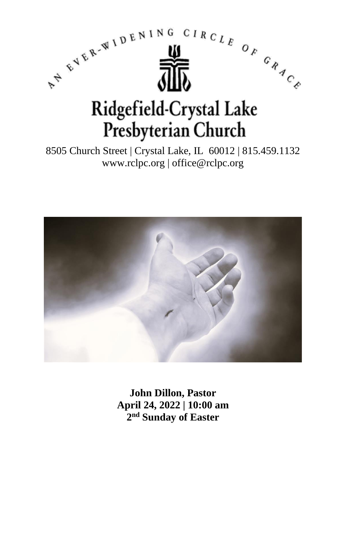

8505 Church Street | Crystal Lake, IL 60012 | 815.459.1132 www.rclpc.org | office@rclpc.org



**John Dillon, Pastor April 24, 2022 | 10:00 am 2 nd Sunday of Easter**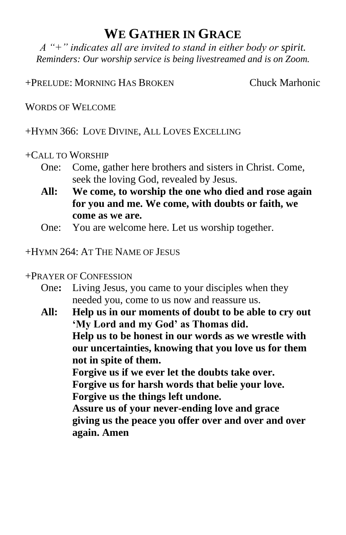## **WE GATHER IN GRACE**

*A "+" indicates all are invited to stand in either body or spirit. Reminders: Our worship service is being livestreamed and is on Zoom.*

+PRELUDE: MORNING HAS BROKEN Chuck Marhonic

WORDS OF WELCOME

+HYMN 366: LOVE DIVINE, ALL LOVES EXCELLING

#### +CALL TO WORSHIP

- One: Come, gather here brothers and sisters in Christ. Come, seek the loving God, revealed by Jesus.
- **All: We come, to worship the one who died and rose again for you and me. We come, with doubts or faith, we come as we are.**
- One: You are welcome here. Let us worship together.

### $+H$ YMN  $264.$  At The Name of Jesus

- +PRAYER OF CONFESSION
	- One**:** Living Jesus, you came to your disciples when they needed you, come to us now and reassure us.
	- **All: Help us in our moments of doubt to be able to cry out 'My Lord and my God' as Thomas did. Help us to be honest in our words as we wrestle with our uncertainties, knowing that you love us for them not in spite of them. Forgive us if we ever let the doubts take over. Forgive us for harsh words that belie your love. Forgive us the things left undone. Assure us of your never-ending love and grace giving us the peace you offer over and over and over again. Amen**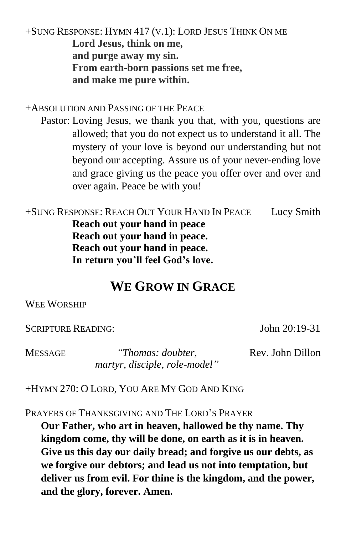+SUNG RESPONSE: HYMN 417 (V.1): LORD JESUS THINK ON ME **Lord Jesus, think on me, and purge away my sin. From earth-born passions set me free, and make me pure within.**

+ABSOLUTION AND PASSING OF THE PEACE

Pastor: Loving Jesus, we thank you that, with you, questions are allowed; that you do not expect us to understand it all. The mystery of your love is beyond our understanding but not beyond our accepting. Assure us of your never-ending love and grace giving us the peace you offer over and over and over again. Peace be with you!

+SUNG RESPONSE: REACH OUT YOUR HAND IN PEACE Lucy Smith **Reach out your hand in peace Reach out your hand in peace. Reach out your hand in peace. In return you'll feel God's love.**

## **WE GROW IN GRACE**

#### WEE WORSHIP

SCRIPTURE READING: John 20:19-31

MESSAGE *"Thomas: doubter, martyr, disciple, role-model"* Rev. John Dillon

+HYMN 270: O LORD, YOU ARE MY GOD AND KING

PRAYERS OF THANKSGIVING AND THE LORD'S PRAYER

**Our Father, who art in heaven, hallowed be thy name. Thy kingdom come, thy will be done, on earth as it is in heaven. Give us this day our daily bread; and forgive us our debts, as we forgive our debtors; and lead us not into temptation, but deliver us from evil. For thine is the kingdom, and the power, and the glory, forever. Amen.**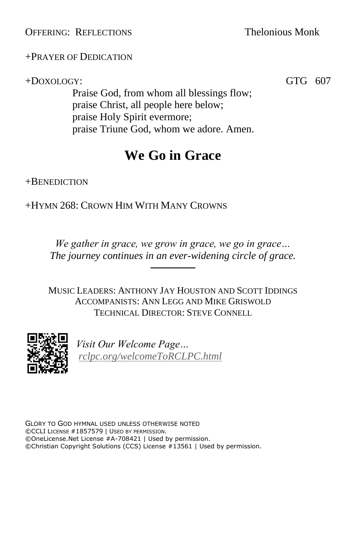OFFERING: REFLECTIONS Thelonious Monk

+PRAYER OF DEDICATION

+DOXOLOGY: GTG 607

Praise God, from whom all blessings flow; praise Christ, all people here below; praise Holy Spirit evermore; praise Triune God, whom we adore. Amen.

# **We Go in Grace**

+BENEDICTION

+HYMN 268: CROWN HIM WITH MANY CROWNS

*We gather in grace, we grow in grace, we go in grace… The journey continues in an ever-widening circle of grace.*

──────

MUSIC LEADERS: ANTHONY JAY HOUSTON AND SCOTT IDDINGS ACCOMPANISTS: ANN LEGG AND MIKE GRISWOLD TECHNICAL DIRECTOR: STEVE CONNELL



*Visit Our Welcome Page… [rclpc.org/welcomeToRCLPC.html](http://rclpc.org/welcomeToRCLPC.html)*

GLORY TO GOD HYMNAL USED UNLESS OTHERWISE NOTED ©CCLI LICENSE #1857579 | USED BY PERMISSION. ©OneLicense.Net License #A-708421 | Used by permission. ©Christian Copyright Solutions (CCS) License #13561 | Used by permission.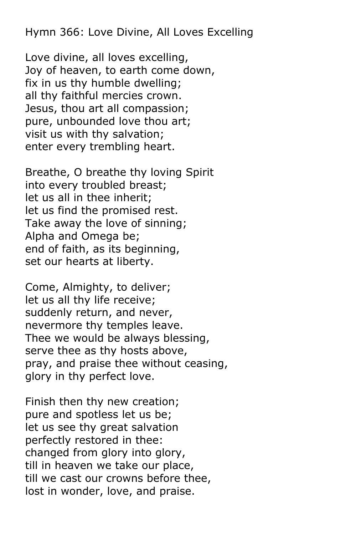Hymn 366: Love Divine, All Loves Excelling

Love divine, all loves excelling, Joy of heaven, to earth come down, fix in us thy humble dwelling; all thy faithful mercies crown. Jesus, thou art all compassion; pure, unbounded love thou art; visit us with thy salvation; enter every trembling heart.

Breathe, O breathe thy loving Spirit into every troubled breast; let us all in thee inherit; let us find the promised rest. Take away the love of sinning; Alpha and Omega be; end of faith, as its beginning, set our hearts at liberty.

Come, Almighty, to deliver; let us all thy life receive; suddenly return, and never, nevermore thy temples leave. Thee we would be always blessing, serve thee as thy hosts above, pray, and praise thee without ceasing, glory in thy perfect love.

Finish then thy new creation; pure and spotless let us be; let us see thy great salvation perfectly restored in thee: changed from glory into glory, till in heaven we take our place, till we cast our crowns before thee, lost in wonder, love, and praise.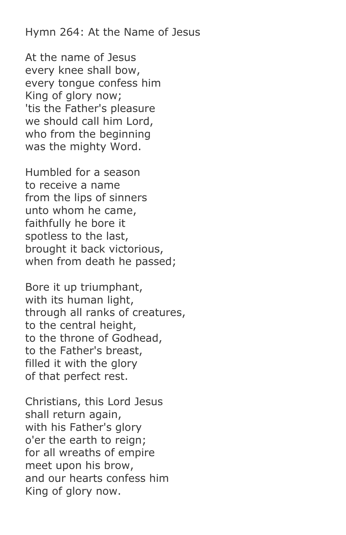Hymn 264: At the Name of Jesus

At the name of Jesus every knee shall bow, every tongue confess him King of glory now; 'tis the Father's pleasure we should call him Lord, who from the beginning was the mighty Word.

Humbled for a season to receive a name from the lips of sinners unto whom he came, faithfully he bore it spotless to the last, brought it back victorious, when from death he passed;

Bore it up triumphant, with its human light, through all ranks of creatures, to the central height, to the throne of Godhead, to the Father's breast, filled it with the glory of that perfect rest.

Christians, this Lord Jesus shall return again, with his Father's glory o'er the earth to reign; for all wreaths of empire meet upon his brow, and our hearts confess him King of glory now.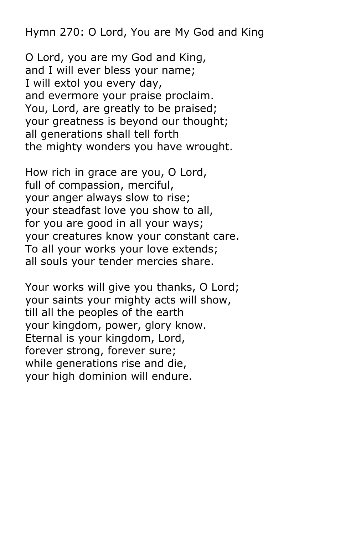Hymn 270: O Lord, You are My God and King

O Lord, you are my God and King, and I will ever bless your name; I will extol you every day, and evermore your praise proclaim. You, Lord, are greatly to be praised; your greatness is beyond our thought; all generations shall tell forth the mighty wonders you have wrought.

How rich in grace are you, O Lord, full of compassion, merciful, your anger always slow to rise; your steadfast love you show to all, for you are good in all your ways; your creatures know your constant care. To all your works your love extends; all souls your tender mercies share.

Your works will give you thanks, O Lord; your saints your mighty acts will show, till all the peoples of the earth your kingdom, power, glory know. Eternal is your kingdom, Lord, forever strong, forever sure; while generations rise and die, your high dominion will endure.